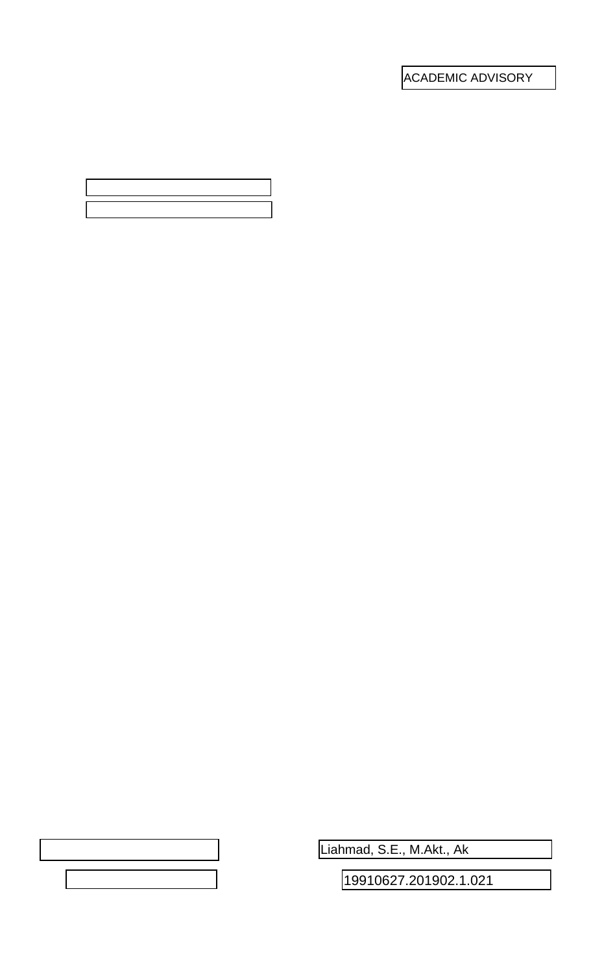ACADEMIC ADVISORY

Liahmad, S.E., M.Akt., Ak

19910627.201902.1.021

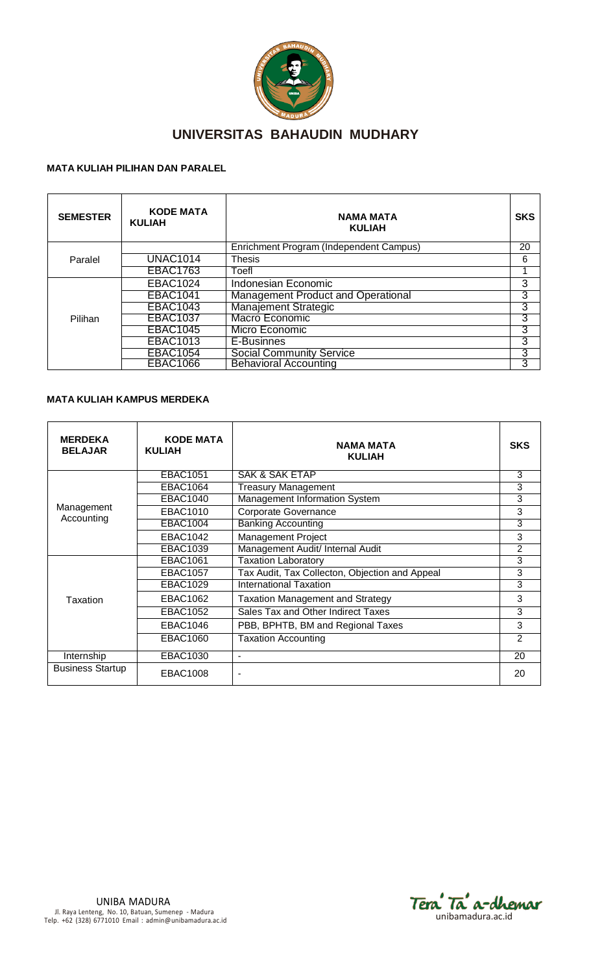

# **UNIVERSITAS BAHAUDIN MUDHARY**

## **MATA KULIAH PILIHAN DAN PARALEL**

| <b>SEMESTER</b> | <b>KODE MATA</b><br><b>KULIAH</b> | <b>NAMA MATA</b><br><b>KULIAH</b>         | <b>SKS</b> |  |
|-----------------|-----------------------------------|-------------------------------------------|------------|--|
| Paralel         |                                   | Enrichment Program (Independent Campus)   | 20         |  |
|                 | <b>UNAC1014</b>                   | <b>Thesis</b>                             | 6          |  |
|                 | <b>EBAC1763</b>                   | Toefl                                     |            |  |
| Pilihan         | <b>EBAC1024</b>                   | Indonesian Economic                       | 3          |  |
|                 | <b>EBAC1041</b>                   | <b>Management Product and Operational</b> | 3          |  |
|                 | <b>EBAC1043</b>                   | <b>Manajement Strategic</b>               | 3          |  |
|                 | <b>EBAC1037</b>                   | Macro Economic                            | 3          |  |
|                 | <b>EBAC1045</b>                   | Micro Economic                            | 3          |  |
|                 | <b>EBAC1013</b>                   | E-Businnes                                | 3          |  |
|                 | <b>EBAC1054</b>                   | <b>Social Community Service</b>           | 3          |  |
|                 | <b>EBAC1066</b>                   | <b>Behavioral Accounting</b>              | 3          |  |

#### **MATA KULIAH KAMPUS MERDEKA**

| <b>MERDEKA</b><br><b>BELAJAR</b> | <b>KODE MATA</b><br><b>KULIAH</b> | NAMA MATA<br><b>KULIAH</b>                     | <b>SKS</b> |
|----------------------------------|-----------------------------------|------------------------------------------------|------------|
|                                  | <b>EBAC1051</b>                   | <b>SAK &amp; SAK ETAP</b>                      | 3          |
|                                  | EBAC1064                          | <b>Treasury Management</b>                     | 3          |
|                                  | <b>EBAC1040</b>                   | <b>Management Information System</b>           | 3          |
| Management<br>Accounting         | EBAC1010                          | <b>Corporate Governance</b>                    | 3          |
|                                  | EBAC1004                          | <b>Banking Accounting</b>                      | 3          |
|                                  | <b>EBAC1042</b>                   | <b>Management Project</b>                      | 3          |
|                                  | <b>EBAC1039</b>                   | Management Audit/ Internal Audit               | 2          |
|                                  | <b>EBAC1061</b>                   | <b>Taxation Laboratory</b>                     | 3          |
|                                  | <b>EBAC1057</b>                   | Tax Audit, Tax Collecton, Objection and Appeal | 3          |
|                                  | EBAC1029                          | <b>International Taxation</b>                  | 3          |
| Taxation                         | EBAC1062                          | <b>Taxation Management and Strategy</b>        | 3          |
|                                  | <b>EBAC1052</b>                   | Sales Tax and Other Indirect Taxes             | 3          |
|                                  | <b>EBAC1046</b>                   | PBB, BPHTB, BM and Regional Taxes              | 3          |
|                                  | EBAC1060                          | <b>Taxation Accounting</b>                     | 2          |
| Internship                       | <b>EBAC1030</b>                   | ٠                                              | 20         |
| <b>Business Startup</b>          | <b>EBAC1008</b>                   |                                                | 20         |